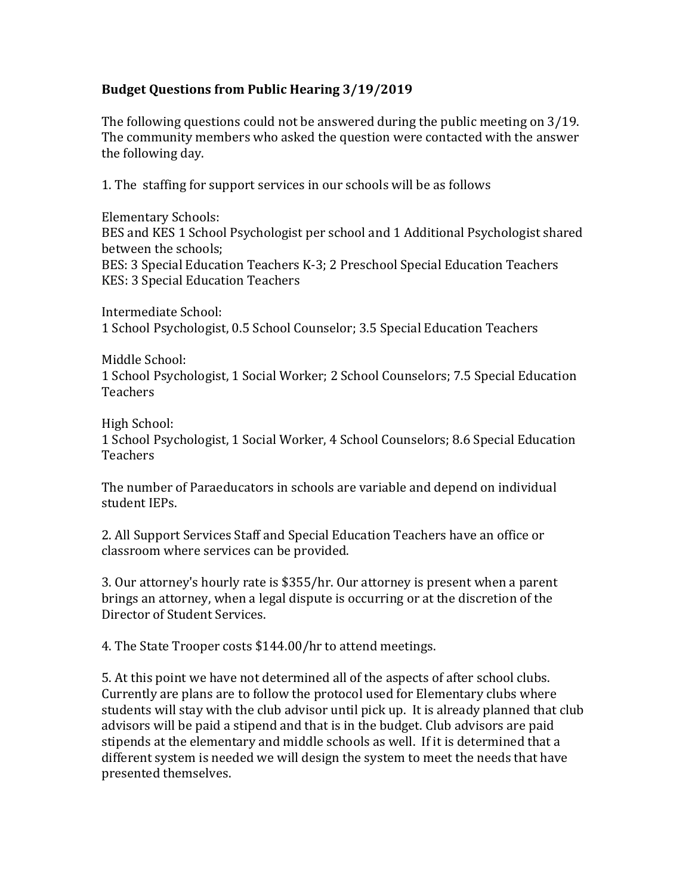## **Budget Questions from Public Hearing 3/19/2019**

The following questions could not be answered during the public meeting on 3/19. The community members who asked the question were contacted with the answer the following day.

1. The staffing for support services in our schools will be as follows

Elementary Schools: BES and KES 1 School Psychologist per school and 1 Additional Psychologist shared between the schools; BES: 3 Special Education Teachers K-3; 2 Preschool Special Education Teachers KES: 3 Special Education Teachers

Intermediate School: 1 School Psychologist, 0.5 School Counselor; 3.5 Special Education Teachers

Middle School: 1 School Psychologist, 1 Social Worker; 2 School Counselors; 7.5 Special Education **Teachers** 

High School:

1 School Psychologist, 1 Social Worker, 4 School Counselors; 8.6 Special Education Teachers

The number of Paraeducators in schools are variable and depend on individual student IEPs.

2. All Support Services Staff and Special Education Teachers have an office or classroom where services can be provided.

3. Our attorney's hourly rate is \$355/hr. Our attorney is present when a parent brings an attorney, when a legal dispute is occurring or at the discretion of the Director of Student Services.

4. The State Trooper costs \$144.00/hr to attend meetings.

5. At this point we have not determined all of the aspects of after school clubs. Currently are plans are to follow the protocol used for Elementary clubs where students will stay with the club advisor until pick up. It is already planned that club advisors will be paid a stipend and that is in the budget. Club advisors are paid stipends at the elementary and middle schools as well. If it is determined that a different system is needed we will design the system to meet the needs that have presented themselves.